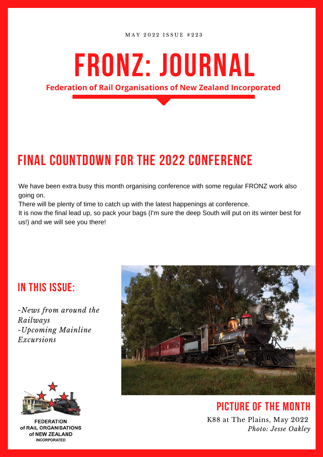M A Y 2 0 2 2 I S S U E # 2 2 3

# **fronz: Journal**

**Federation of Rail Organisations of New Zealand Incorporated**

# **FINAL COUNTDOWN FOR THE 2022 CONFERENCE**

We have been extra busy this month organising conference with some regular FRONZ work also going on.

There will be plenty of time to catch up with the latest happenings at conference.

It is now the final lead up, so pack your bags (I'm sure the deep South will put on its winter best for us!) and we will see you there!

### **in this issue:**

*-News from around the Railways -Upcoming Mainline Excursions*



**FEDERATION** of RAIL ORGANISATIONS of NEW ZEALAND **INCORPORATED** 



**picture of the month** K88 at The Plains, May 2022 *Photo: Jesse Oakley*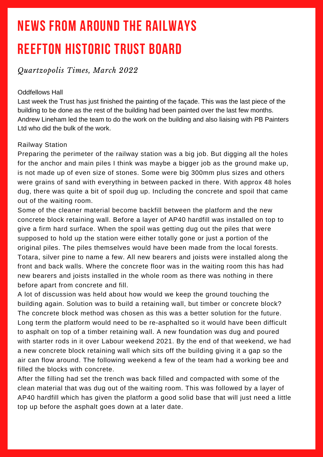# **REEFTON HISTORIC TRUST BOARD NEWS FROM AROUND THE RAILWAYS**

### *Quartzopolis Times, March 2022*

#### Oddfellows Hall

Last week the Trust has just finished the painting of the façade. This was the last piece of the building to be done as the rest of the building had been painted over the last few months. Andrew Lineham led the team to do the work on the building and also liaising with PB Painters Ltd who did the bulk of the work.

#### Railway Station

Preparing the perimeter of the railway station was a big job. But digging all the holes for the anchor and main piles I think was maybe a bigger job as the ground make up, is not made up of even size of stones. Some were big 300mm plus sizes and others were grains of sand with everything in between packed in there. With approx 48 holes dug, there was quite a bit of spoil dug up. Including the concrete and spoil that came out of the waiting room.

Some of the cleaner material become backfill between the platform and the new concrete block retaining wall. Before a layer of AP40 hardfill was installed on top to give a firm hard surface. When the spoil was getting dug out the piles that were supposed to hold up the station were either totally gone or just a portion of the original piles. The piles themselves would have been made from the local forests. Totara, silver pine to name a few. All new bearers and joists were installed along the front and back walls. Where the concrete floor was in the waiting room this has had new bearers and joists installed in the whole room as there was nothing in there before apart from concrete and fill.

A lot of discussion was held about how would we keep the ground touching the building again. Solution was to build a retaining wall, but timber or concrete block? The concrete block method was chosen as this was a better solution for the future. Long term the platform would need to be re-asphalted so it would have been difficult to asphalt on top of a timber retaining wall. A new foundation was dug and poured with starter rods in it over Labour weekend 2021. By the end of that weekend, we had a new concrete block retaining wall which sits off the building giving it a gap so the air can flow around. The following weekend a few of the team had a working bee and filled the blocks with concrete.

After the filling had set the trench was back filled and compacted with some of the clean material that was dug out of the waiting room. This was followed by a layer of AP40 hardfill which has given the platform a good solid base that will just need a little top up before the asphalt goes down at a later date.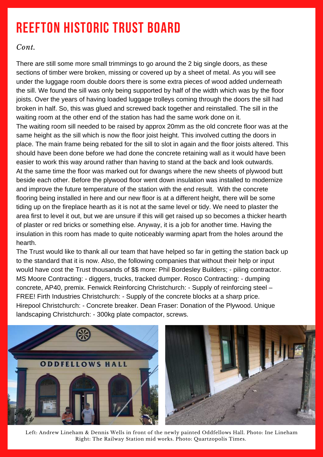# **REEFTON HISTORIC TRUST BOARD**

### *Cont.*

There are still some more small trimmings to go around the 2 big single doors, as these sections of timber were broken, missing or covered up by a sheet of metal. As you will see under the luggage room double doors there is some extra pieces of wood added underneath the sill. We found the sill was only being supported by half of the width which was by the floor joists. Over the years of having loaded luggage trolleys coming through the doors the sill had broken in half. So, this was glued and screwed back together and reinstalled. The sill in the waiting room at the other end of the station has had the same work done on it. The waiting room sill needed to be raised by approx 20mm as the old concrete floor was at the same height as the sill which is now the floor joist height. This involved cutting the doors in place. The main frame being rebated for the sill to slot in again and the floor joists altered. This should have been done before we had done the concrete retaining wall as it would have been easier to work this way around rather than having to stand at the back and look outwards. At the same time the floor was marked out for dwangs where the new sheets of plywood butt beside each other. Before the plywood floor went down insulation was installed to modernize and improve the future temperature of the station with the end result. With the concrete flooring being installed in here and our new floor is at a different height, there will be some tiding up on the fireplace hearth as it is not at the same level or tidy. We need to plaster the area first to level it out, but we are unsure if this will get raised up so becomes a thicker hearth of plaster or red bricks or something else. Anyway, it is a job for another time. Having the insulation in this room has made to quite noticeably warming apart from the holes around the hearth.

The Trust would like to thank all our team that have helped so far in getting the station back up to the standard that it is now. Also, the following companies that without their help or input would have cost the Trust thousands of \$\$ more: Phil Bordesley Builders; - piling contractor. MS Moore Contracting: - diggers, trucks, tracked dumper. Rosco Contracting: - dumping concrete, AP40, premix. Fenwick Reinforcing Christchurch: - Supply of reinforcing steel – FREE! Firth Industries Christchurch: - Supply of the concrete blocks at a sharp price. Hirepool Christchurch: - Concrete breaker. Dean Fraser: Donation of the Plywood. Unique landscaping Christchurch: - 300kg plate compactor, screws.



Left: Andrew Lineham & Dennis Wells in front of the newly painted Oddfellows Hall. Photo: Ine Lineham Right: The Railway Station mid works. Photo: Quartzopolis Times.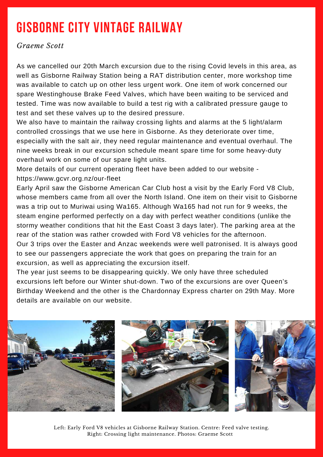# **GISBORNE CITY VINTAGE RAILWAY**

*Graeme Scott*

As we cancelled our 20th March excursion due to the rising Covid levels in this area, as well as Gisborne Railway Station being a RAT distribution center, more workshop time was available to catch up on other less urgent work. One item of work concerned our spare Westinghouse Brake Feed Valves, which have been waiting to be serviced and tested. Time was now available to build a test rig with a calibrated pressure gauge to test and set these valves up to the desired pressure.

We also have to maintain the railway crossing lights and alarms at the 5 light/alarm controlled crossings that we use here in Gisborne. As they deteriorate over time, especially with the salt air, they need regular maintenance and eventual overhaul. The nine weeks break in our excursion schedule meant spare time for some heavy-duty overhaul work on some of our spare light units.

More details of our current operating fleet have been added to our website <https://www.gcvr.org.nz/our-fleet>

Early April saw the Gisborne American Car Club host a visit by the Early Ford V8 Club, whose members came from all over the North Island. One item on their visit to Gisborne was a trip out to Muriwai using Wa165. Although Wa165 had not run for 9 weeks, the steam engine performed perfectly on a day with perfect weather conditions (unlike the stormy weather conditions that hit the East Coast 3 days later). The parking area at the rear of the station was rather crowded with Ford V8 vehicles for the afternoon. Our 3 trips over the Easter and Anzac weekends were well patronised. It is always good

to see our passengers appreciate the work that goes on preparing the train for an excursion, as well as appreciating the excursion itself.

The year just seems to be disappearing quickly. We only have three scheduled excursions left before our Winter shut-down. Two of the excursions are over Queen's Birthday Weekend and the other is the Chardonnay Express charter on 29th May. More details are available on our website.



Left: Early Ford V8 vehicles at Gisborne Railway Station. Centre: Feed valve testing. Right: Crossing light maintenance. Photos: Graeme Scott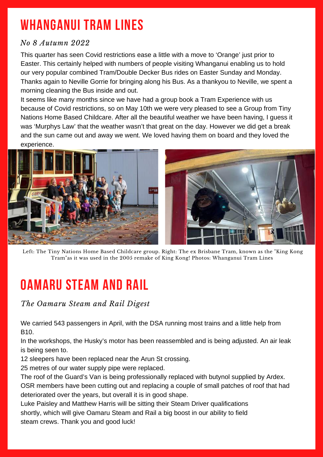# **WHANGANUI TRAM LINES**

### *No 8 Autumn 2022*

This quarter has seen Covid restrictions ease a little with a move to 'Orange' just prior to Easter. This certainly helped with numbers of people visiting Whanganui enabling us to hold our very popular combined Tram/Double Decker Bus rides on Easter Sunday and Monday. Thanks again to Neville Gorrie for bringing along his Bus. As a thankyou to Neville, we spent a morning cleaning the Bus inside and out.

It seems like many months since we have had a group book a Tram Experience with us because of Covid restrictions, so on May 10th we were very pleased to see a Group from Tiny Nations Home Based Childcare. After all the beautiful weather we have been having, I guess it was 'Murphys Law' that the weather wasn't that great on the day. However we did get a break and the sun came out and away we went. We loved having them on board and they loved the experience.



Left: The Tiny Nations Home Based Childcare group. Right: The ex Brisbane Tram, known as the "King Kong Tram"as it was used in the 2005 remake of King Kong! Photos: Whanganui Tram Lines

### **OAMARU STEAM AND RAIL**

### *The Oamaru Steam and Rail Digest*

We carried 543 passengers in April, with the DSA running most trains and a little help from B10.

In the workshops, the Husky's motor has been reassembled and is being adjusted. An air leak is being seen to.

12 sleepers have been replaced near the Arun St crossing.

25 metres of our water supply pipe were replaced.

The roof of the Guard's Van is being professionally replaced with butynol supplied by Ardex. OSR members have been cutting out and replacing a couple of small patches of roof that had deteriorated over the years, but overall it is in good shape.

Luke Paisley and Matthew Harris will be sitting their Steam Driver qualifications shortly, which will give Oamaru Steam and Rail a big boost in our ability to field steam crews. Thank you and good luck!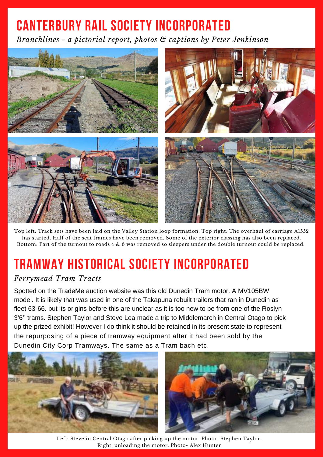# **CANTERBURY RAIL SOCIETY INCORPORATED**

*Branchlines - a pictorial report, photos & captions by Peter Jenkinson*



Top left: Track sets have been laid on the Valley Station loop formation. Top right: The overhaul of carriage A1552 has started. Half of the seat frames have been removed. Some of the exterior classing has also been replaced. Bottom: Part of the turnout to roads 4 & 6 was removed so sleepers under the double turnout could be replaced.

# **TRAMWAY HISTORICAL SOCIETY INCORPORATED**

### *Ferrymead Tram Tracts*

Spotted on the TradeMe auction website was this old Dunedin Tram motor. A MV105BW model. It is likely that was used in one of the Takapuna rebuilt trailers that ran in Dunedin as fleet 63-66. but its origins before this are unclear as it is too new to be from one of the Roslyn 3'6'' trams. Stephen Taylor and Steve Lea made a trip to Middlemarch in Central Otago to pick up the prized exhibit! However I do think it should be retained in its present state to represent the repurposing of a piece of tramway equipment after it had been sold by the Dunedin City Corp Tramways. The same as a Tram bach etc.



Left: Steve in Central Otago after picking up the motor. Photo- Stephen Taylor. Right: unloading the motor. Photo- Alex Hunter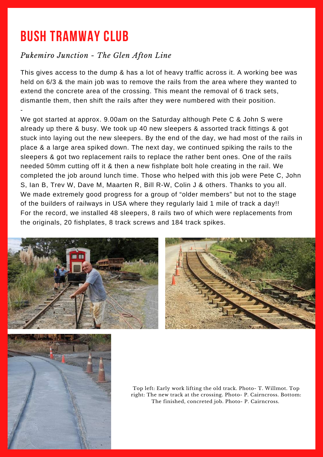# **BUSH TRAMWAY CLUB**

### *Pukemiro Junction - The Glen Afton Line*

This gives access to the dump & has a lot of heavy traffic across it. A working bee was held on 6/3 & the main job was to remove the rails from the area where they wanted to extend the concrete area of the crossing. This meant the removal of 6 track sets, dismantle them, then shift the rails after they were numbered with their position. -

We got started at approx. 9.00am on the Saturday although Pete C & John S were already up there & busy. We took up 40 new sleepers & assorted track fittings & got stuck into laying out the new sleepers. By the end of the day, we had most of the rails in place & a large area spiked down. The next day, we continued spiking the rails to the sleepers & got two replacement rails to replace the rather bent ones. One of the rails needed 50mm cutting off it & then a new fishplate bolt hole creating in the rail. We completed the job around lunch time. Those who helped with this job were Pete C, John S, Ian B, Trev W, Dave M, Maarten R, Bill R-W, Colin J & others. Thanks to you all. We made extremely good progress for a group of "older members" but not to the stage of the builders of railways in USA where they regularly laid 1 mile of track a day!! For the record, we installed 48 sleepers, 8 rails two of which were replacements from the originals, 20 fishplates, 8 track screws and 184 track spikes.







Top left: Early work lifting the old track. Photo- T. Willmot. Top right: The new track at the crossing. Photo- P. Cairncross. Bottom: The finished, concreted job. Photo- P. Cairncross.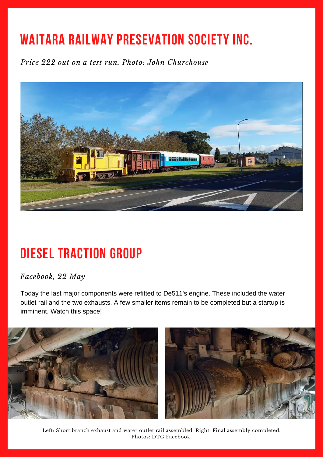# **WAITARA RAILWAY PRESEVATION SOCIETY INC.**

*Price 222 out on a test run. Photo: John Churchouse*



# **DIESEL TRACTION GROUP**

### *Facebook, 22 May*

Today the last major components were refitted to De511's engine. These included the water outlet rail and the two exhausts. A few smaller items remain to be completed but a startup is imminent. Watch this space!



Left: Short branch exhaust and water outlet rail assembled. Right: Final assembly completed. Photos: DTG Facebook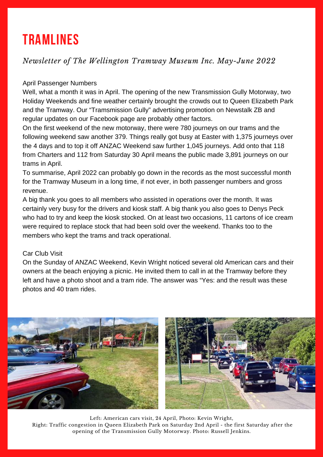### **TRAMLINES**

### *Newsletter of The Wellington Tramway Museum Inc. May-June 2022*

#### April Passenger Numbers

Well, what a month it was in April. The opening of the new Transmission Gully Motorway, two Holiday Weekends and fine weather certainly brought the crowds out to Queen Elizabeth Park and the Tramway. Our "Tramsmission Gully" advertising promotion on Newstalk ZB and regular updates on our Facebook page are probably other factors.

On the first weekend of the new motorway, there were 780 journeys on our trams and the following weekend saw another 379. Things really got busy at Easter with 1,375 journeys over the 4 days and to top it off ANZAC Weekend saw further 1,045 journeys. Add onto that 118 from Charters and 112 from Saturday 30 April means the public made 3,891 journeys on our trams in April.

To summarise, April 2022 can probably go down in the records as the most successful month for the Tramway Museum in a long time, if not ever, in both passenger numbers and gross revenue.

A big thank you goes to all members who assisted in operations over the month. It was certainly very busy for the drivers and kiosk staff. A big thank you also goes to Denys Peck who had to try and keep the kiosk stocked. On at least two occasions, 11 cartons of ice cream were required to replace stock that had been sold over the weekend. Thanks too to the members who kept the trams and track operational.

#### Car Club Visit

On the Sunday of ANZAC Weekend, Kevin Wright noticed several old American cars and their owners at the beach enjoying a picnic. He invited them to call in at the Tramway before they left and have a photo shoot and a tram ride. The answer was "Yes: and the result was these photos and 40 tram rides.



Left: American cars visit, 24 April, Photo: Kevin Wright, Right: Traffic congestion in Queen Elizabeth Park on Saturday 2nd April - the first Saturday after the opening of the Transmission Gully Motorway. Photo: Russell Jenkins.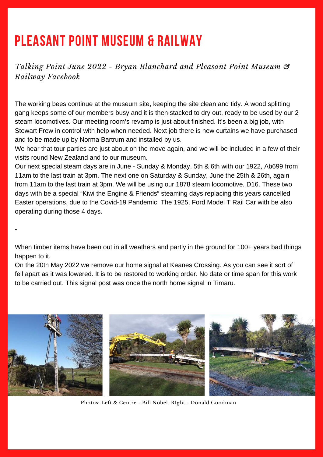### **PLEASANT POINT MUSEUM & RAILWAY**

-

*Talking Point June 2022 - Bryan Blanchard and Pleasant Point Museum & Railway Facebook*

The working bees continue at the museum site, keeping the site clean and tidy. A wood splitting gang keeps some of our members busy and it is then stacked to dry out, ready to be used by our 2 steam locomotives. Our meeting room's revamp is just about finished. It's been a big job, with Stewart Frew in control with help when needed. Next job there is new curtains we have purchased and to be made up by Norma Bartrum and installed by us.

We hear that tour parties are just about on the move again, and we will be included in a few of their visits round New Zealand and to our museum.

Our next special steam days are in June - Sunday & Monday, 5th & 6th with our 1922, Ab699 from 11am to the last train at 3pm. The next one on Saturday & Sunday, June the 25th & 26th, again from 11am to the last train at 3pm. We will be using our 1878 steam locomotive, D16. These two days with be a special "Kiwi the Engine & Friends" steaming days replacing this years cancelled Easter operations, due to the Covid-19 Pandemic. The 1925, Ford Model T Rail Car with be also operating during those 4 days.

When timber items have been out in all weathers and partly in the ground for 100+ years bad things happen to it.

On the 20th May 2022 we remove our home signal at Keanes Crossing. As you can see it sort of fell apart as it was lowered. It is to be restored to working order. No date or time span for this work to be carried out. This signal post was once the north home signal in Timaru.



Photos: Left & Centre - Bill Nobel. RIght - Donald Goodman